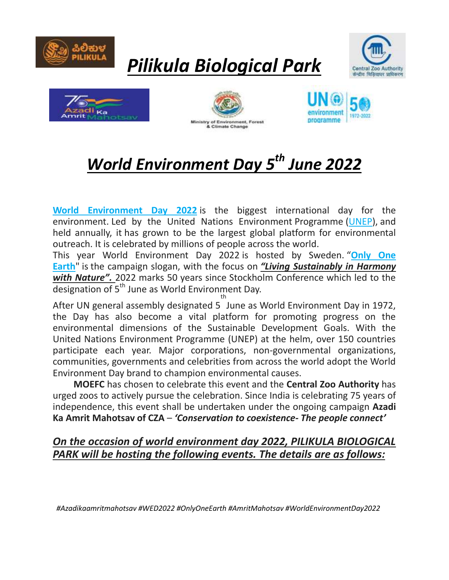

# *Pilikula Biological Park*









## *World Environment Day 5 th June 2022*

**[World Environment Day 2022](https://www.worldenvironmentday.global/)** is the biggest international day for the environment. Led by the United Nations Environment Programme [\(UNEP\)](http://unep.org/), and held annually, it has grown to be the largest global platform for environmental outreach. It is celebrated by millions of people across the world.

This year World Environment Day 2022 is hosted by Sweden. "**[Only One](https://www.worldenvironmentday.global/about/theme)  [Earth](https://www.worldenvironmentday.global/about/theme)**" is the campaign slogan, with the focus on *"Living Sustainably in Harmony with Nature".* 2022 marks 50 years since Stockholm Conference which led to the designation of 5<sup>th</sup> June as World Environment Day. th

After UN general assembly designated 5 June as World Environment Day in 1972, the Day has also become a vital platform for promoting progress on the environmental dimensions of the Sustainable Development Goals. With the United Nations Environment Programme (UNEP) at the helm, over 150 countries participate each year. Major corporations, non-governmental organizations, communities, governments and celebrities from across the world adopt the World Environment Day brand to champion environmental causes.

 **MOEFC** has chosen to celebrate this event and the **Central Zoo Authority** has urged zoos to actively pursue the celebration. Since India is celebrating 75 years of independence, this event shall be undertaken under the ongoing campaign **Azadi Ka Amrit Mahotsav of CZA** – *'Conservation to coexistence- The people connect'*

### *On the occasion of world environment day 2022, PILIKULA BIOLOGICAL PARK will be hosting the following events. The details are as follows:*

 *#Azadikaamritmahotsav #WED2022 #OnlyOneEarth #AmritMahotsav #WorldEnvironmentDay2022*